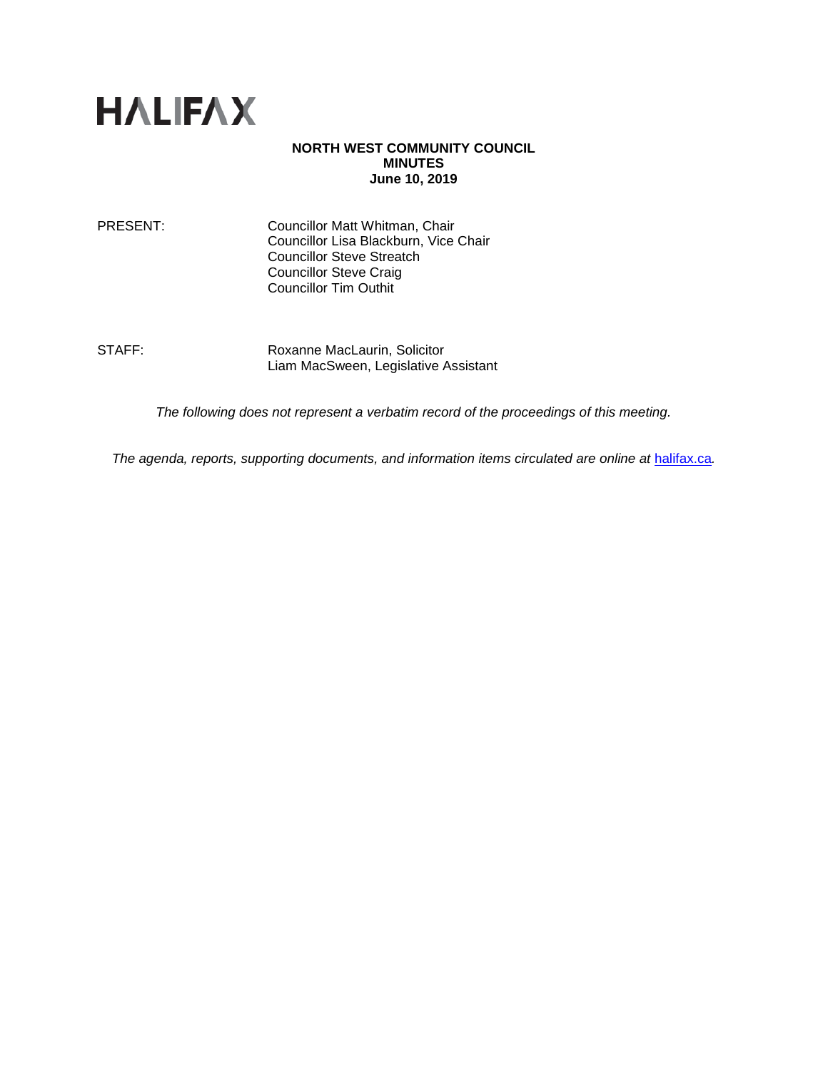

#### **NORTH WEST COMMUNITY COUNCIL MINUTES June 10, 2019**

PRESENT: Councillor Matt Whitman, Chair Councillor Lisa Blackburn, Vice Chair Councillor Steve Streatch Councillor Steve Craig Councillor Tim Outhit

STAFF: Roxanne MacLaurin, Solicitor Liam MacSween, Legislative Assistant

*The following does not represent a verbatim record of the proceedings of this meeting.*

*The agenda, reports, supporting documents, and information items circulated are online at [halifax.ca](http://www.halifax.ca/).*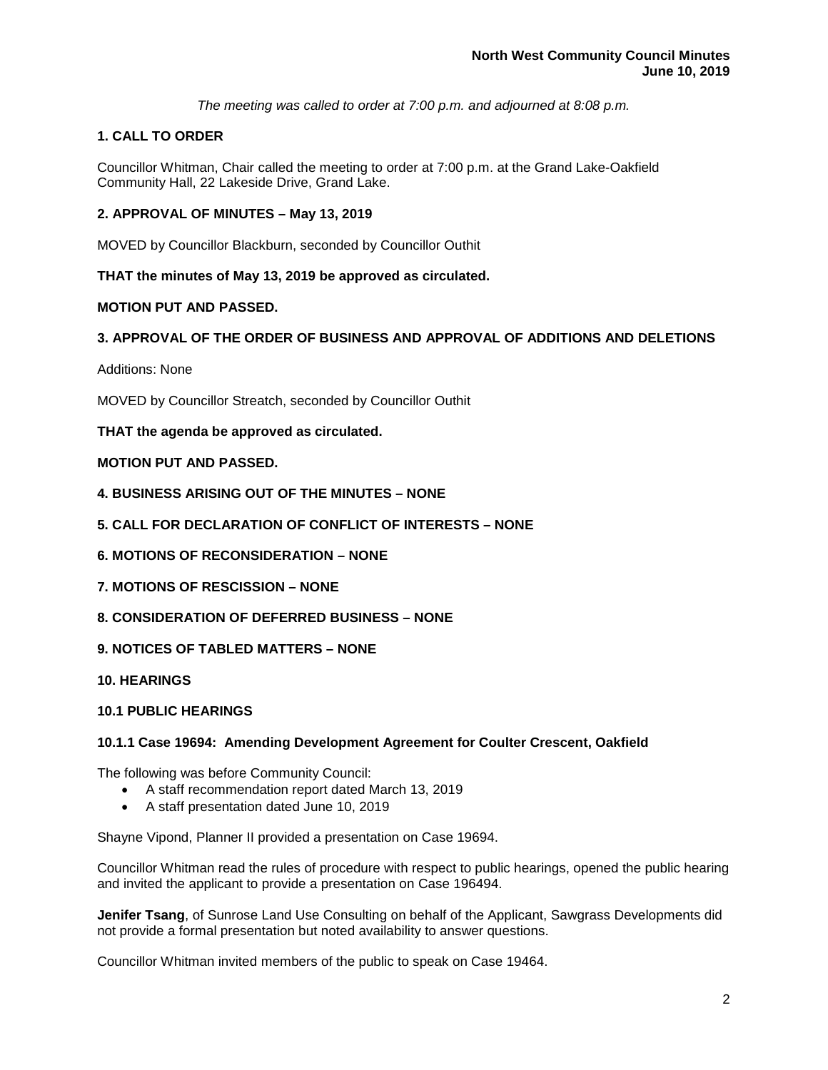*The meeting was called to order at 7:00 p.m. and adjourned at 8:08 p.m.*

## **1. CALL TO ORDER**

Councillor Whitman, Chair called the meeting to order at 7:00 p.m. at the Grand Lake-Oakfield Community Hall, 22 Lakeside Drive, Grand Lake.

## **2. APPROVAL OF MINUTES – May 13, 2019**

MOVED by Councillor Blackburn, seconded by Councillor Outhit

**THAT the minutes of May 13, 2019 be approved as circulated.**

## **MOTION PUT AND PASSED.**

## **3. APPROVAL OF THE ORDER OF BUSINESS AND APPROVAL OF ADDITIONS AND DELETIONS**

Additions: None

MOVED by Councillor Streatch, seconded by Councillor Outhit

**THAT the agenda be approved as circulated.** 

## **MOTION PUT AND PASSED.**

- **4. BUSINESS ARISING OUT OF THE MINUTES – NONE**
- **5. CALL FOR DECLARATION OF CONFLICT OF INTERESTS – NONE**
- **6. MOTIONS OF RECONSIDERATION – NONE**
- **7. MOTIONS OF RESCISSION – NONE**
- **8. CONSIDERATION OF DEFERRED BUSINESS – NONE**
- **9. NOTICES OF TABLED MATTERS – NONE**
- **10. HEARINGS**

#### **10.1 PUBLIC HEARINGS**

#### **10.1.1 Case 19694: Amending Development Agreement for Coulter Crescent, Oakfield**

The following was before Community Council:

- A staff recommendation report dated March 13, 2019
- A staff presentation dated June 10, 2019

Shayne Vipond, Planner II provided a presentation on Case 19694.

Councillor Whitman read the rules of procedure with respect to public hearings, opened the public hearing and invited the applicant to provide a presentation on Case 196494.

**Jenifer Tsang**, of Sunrose Land Use Consulting on behalf of the Applicant, Sawgrass Developments did not provide a formal presentation but noted availability to answer questions.

Councillor Whitman invited members of the public to speak on Case 19464.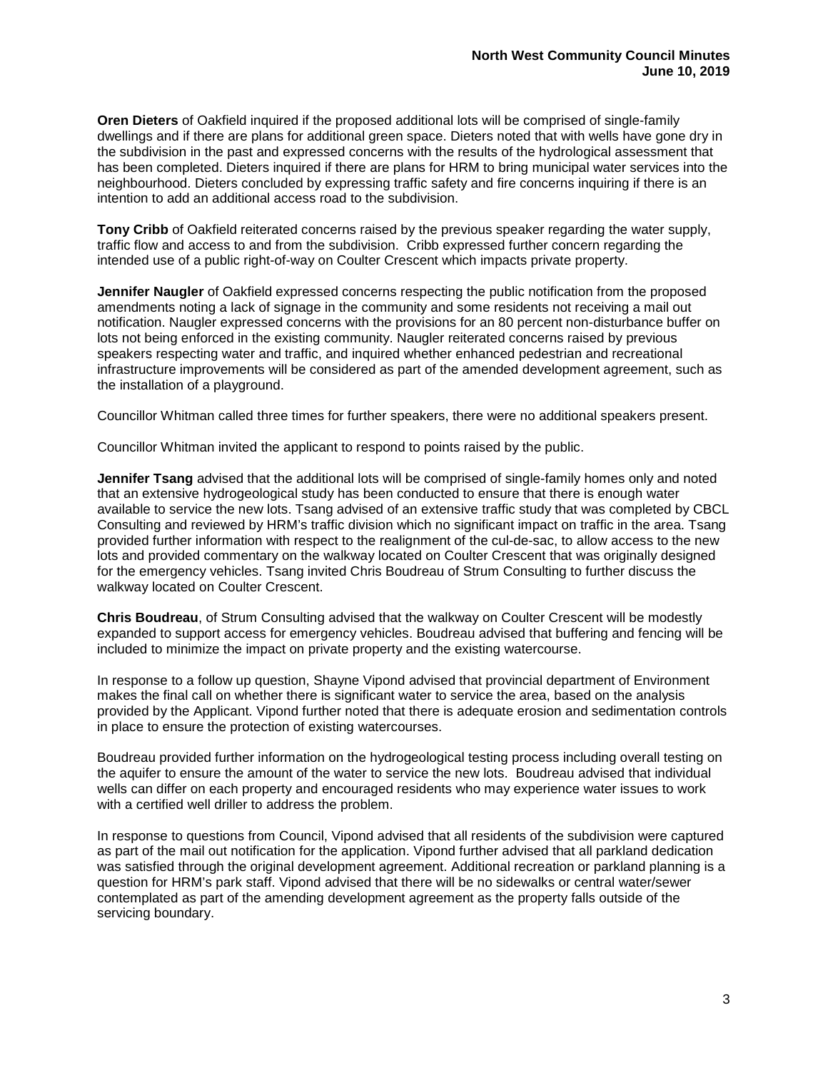**Oren Dieters** of Oakfield inquired if the proposed additional lots will be comprised of single-family dwellings and if there are plans for additional green space. Dieters noted that with wells have gone dry in the subdivision in the past and expressed concerns with the results of the hydrological assessment that has been completed. Dieters inquired if there are plans for HRM to bring municipal water services into the neighbourhood. Dieters concluded by expressing traffic safety and fire concerns inquiring if there is an intention to add an additional access road to the subdivision.

**Tony Cribb** of Oakfield reiterated concerns raised by the previous speaker regarding the water supply, traffic flow and access to and from the subdivision. Cribb expressed further concern regarding the intended use of a public right-of-way on Coulter Crescent which impacts private property.

**Jennifer Naugler** of Oakfield expressed concerns respecting the public notification from the proposed amendments noting a lack of signage in the community and some residents not receiving a mail out notification. Naugler expressed concerns with the provisions for an 80 percent non-disturbance buffer on lots not being enforced in the existing community. Naugler reiterated concerns raised by previous speakers respecting water and traffic, and inquired whether enhanced pedestrian and recreational infrastructure improvements will be considered as part of the amended development agreement, such as the installation of a playground.

Councillor Whitman called three times for further speakers, there were no additional speakers present.

Councillor Whitman invited the applicant to respond to points raised by the public.

**Jennifer Tsang** advised that the additional lots will be comprised of single-family homes only and noted that an extensive hydrogeological study has been conducted to ensure that there is enough water available to service the new lots. Tsang advised of an extensive traffic study that was completed by CBCL Consulting and reviewed by HRM's traffic division which no significant impact on traffic in the area. Tsang provided further information with respect to the realignment of the cul-de-sac, to allow access to the new lots and provided commentary on the walkway located on Coulter Crescent that was originally designed for the emergency vehicles. Tsang invited Chris Boudreau of Strum Consulting to further discuss the walkway located on Coulter Crescent.

**Chris Boudreau**, of Strum Consulting advised that the walkway on Coulter Crescent will be modestly expanded to support access for emergency vehicles. Boudreau advised that buffering and fencing will be included to minimize the impact on private property and the existing watercourse.

In response to a follow up question, Shayne Vipond advised that provincial department of Environment makes the final call on whether there is significant water to service the area, based on the analysis provided by the Applicant. Vipond further noted that there is adequate erosion and sedimentation controls in place to ensure the protection of existing watercourses.

Boudreau provided further information on the hydrogeological testing process including overall testing on the aquifer to ensure the amount of the water to service the new lots. Boudreau advised that individual wells can differ on each property and encouraged residents who may experience water issues to work with a certified well driller to address the problem.

In response to questions from Council, Vipond advised that all residents of the subdivision were captured as part of the mail out notification for the application. Vipond further advised that all parkland dedication was satisfied through the original development agreement. Additional recreation or parkland planning is a question for HRM's park staff. Vipond advised that there will be no sidewalks or central water/sewer contemplated as part of the amending development agreement as the property falls outside of the servicing boundary.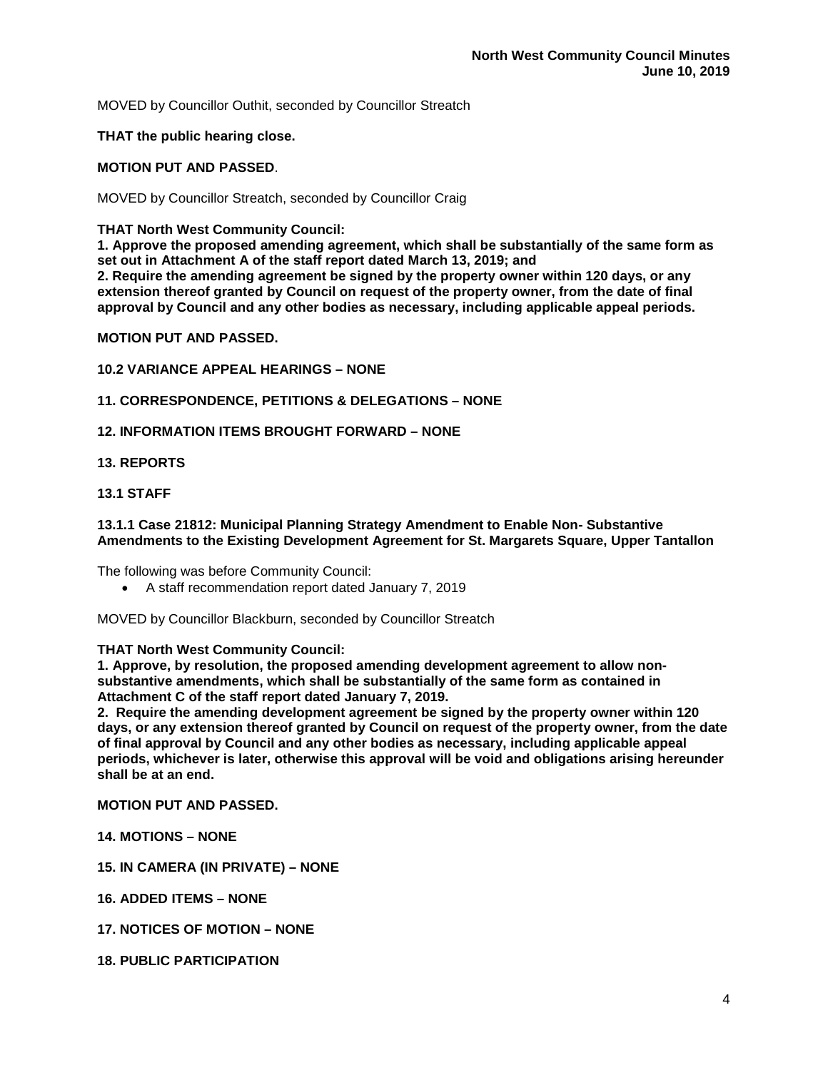MOVED by Councillor Outhit, seconded by Councillor Streatch

**THAT the public hearing close.**

## **MOTION PUT AND PASSED**.

MOVED by Councillor Streatch, seconded by Councillor Craig

#### **THAT North West Community Council:**

**1. Approve the proposed amending agreement, which shall be substantially of the same form as set out in Attachment A of the staff report dated March 13, 2019; and**

**2. Require the amending agreement be signed by the property owner within 120 days, or any extension thereof granted by Council on request of the property owner, from the date of final approval by Council and any other bodies as necessary, including applicable appeal periods.**

## **MOTION PUT AND PASSED.**

## **10.2 VARIANCE APPEAL HEARINGS – NONE**

## **11. CORRESPONDENCE, PETITIONS & DELEGATIONS – NONE**

## **12. INFORMATION ITEMS BROUGHT FORWARD – NONE**

## **13. REPORTS**

## **13.1 STAFF**

#### **13.1.1 Case 21812: Municipal Planning Strategy Amendment to Enable Non- Substantive Amendments to the Existing Development Agreement for St. Margarets Square, Upper Tantallon**

The following was before Community Council:

• A staff recommendation report dated January 7, 2019

MOVED by Councillor Blackburn, seconded by Councillor Streatch

#### **THAT North West Community Council:**

**1. Approve, by resolution, the proposed amending development agreement to allow nonsubstantive amendments, which shall be substantially of the same form as contained in Attachment C of the staff report dated January 7, 2019.**

**2. Require the amending development agreement be signed by the property owner within 120 days, or any extension thereof granted by Council on request of the property owner, from the date of final approval by Council and any other bodies as necessary, including applicable appeal periods, whichever is later, otherwise this approval will be void and obligations arising hereunder shall be at an end.**

**MOTION PUT AND PASSED.**

- **14. MOTIONS – NONE**
- **15. IN CAMERA (IN PRIVATE) – NONE**
- **16. ADDED ITEMS – NONE**
- **17. NOTICES OF MOTION – NONE**
- **18. PUBLIC PARTICIPATION**